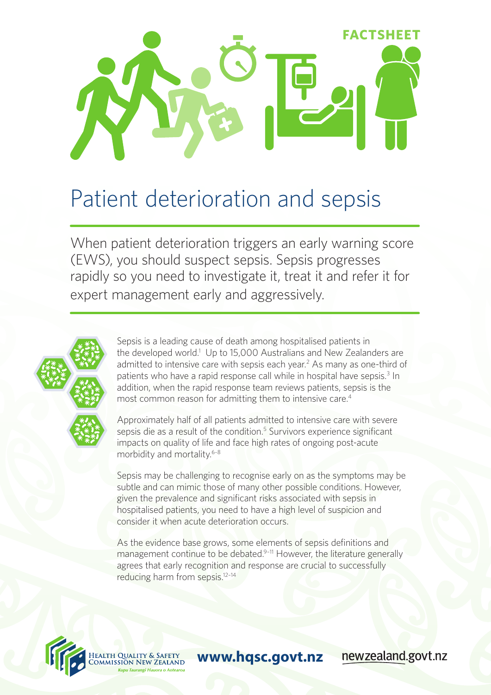

# Patient deterioration and sepsis

When patient deterioration triggers an early warning score (EWS), you should suspect sepsis. Sepsis progresses rapidly so you need to investigate it, treat it and refer it for expert management early and aggressively.



Sepsis is a leading cause of death among hospitalised patients in the developed world.<sup>1</sup> Up to 15,000 Australians and New Zealanders are admitted to intensive care with sepsis each year.<sup>2</sup> As many as one-third of patients who have a rapid response call while in hospital have sepsis.<sup>3</sup> In addition, when the rapid response team reviews patients, sepsis is the most common reason for admitting them to intensive care.<sup>4</sup>

Approximately half of all patients admitted to intensive care with severe sepsis die as a result of the condition.<sup>5</sup> Survivors experience significant impacts on quality of life and face high rates of ongoing post-acute morbidity and mortality.<sup>6-8</sup>

Sepsis may be challenging to recognise early on as the symptoms may be subtle and can mimic those of many other possible conditions. However, given the prevalence and significant risks associated with sepsis in hospitalised patients, you need to have a high level of suspicion and consider it when acute deterioration occurs.

As the evidence base grows, some elements of sepsis definitions and management continue to be debated.<sup>9-11</sup> However, the literature generally agrees that early recognition and response are crucial to successfully reducing harm from sepsis.12–14



**www.hqsc.govt.nz**

newzealand.govt.nz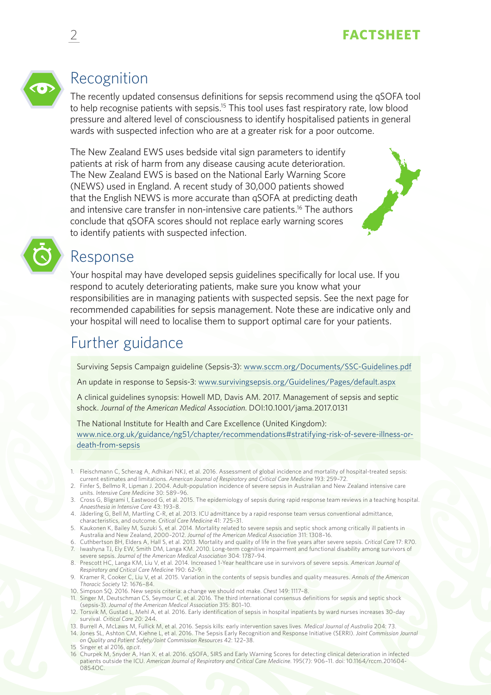

# Recognition

The recently updated consensus definitions for sepsis recommend using the qSOFA tool to help recognise patients with sepsis.<sup>15</sup> This tool uses fast respiratory rate, low blood pressure and altered level of consciousness to identify hospitalised patients in general wards with suspected infection who are at a greater risk for a poor outcome.

The New Zealand EWS uses bedside vital sign parameters to identify patients at risk of harm from any disease causing acute deterioration. The New Zealand EWS is based on the National Early Warning Score (NEWS) used in England. A recent study of 30,000 patients showed that the English NEWS is more accurate than qSOFA at predicting death and intensive care transfer in non-intensive care patients.<sup>16</sup> The authors conclude that qSOFA scores should not replace early warning scores to identify patients with suspected infection.



## Response

Your hospital may have developed sepsis guidelines specifically for local use. If you respond to acutely deteriorating patients, make sure you know what your responsibilities are in managing patients with suspected sepsis. See the next page for recommended capabilities for sepsis management. Note these are indicative only and your hospital will need to localise them to support optimal care for your patients.

# Further guidance

Surviving Sepsis Campaign guideline (Sepsis-3): www.sccm.org/Documents/SSC-Guidelines.pdf

An update in response to Sepsis-3: www.survivingsepsis.org/Guidelines/Pages/default.aspx

A clinical guidelines synopsis: Howell MD, Davis AM. 2017. Management of sepsis and septic shock. *Journal of the American Medical Association*. DOI:10.1001/jama.2017.0131

The National Institute for Health and Care Excellence (United Kingdom): www.nice.org.uk/guidance/ng51/chapter/recommendations#stratifying-risk-of-severe-illness-ordeath-from-sepsis

- 1. Fleischmann C, Scherag A, Adhikari NKJ, et al. 2016. Assessment of global incidence and mortality of hospital-treated sepsis: current estimates and limitations. *American Journal of Respiratory and Critical Care Medicine* 193: 259–72.
- 2. Finfer S, Bellmo R, Lipman J. 2004. Adult-population incidence of severe sepsis in Australian and New Zealand intensive care units. *Intensive Care Medicine* 30: 589–96.
- 3. Cross G, Bligrami I, Eastwood G, et al. 2015. The epidemiology of sepsis during rapid response team reviews in a teaching hospital. *Anaesthesia in Intensive Care* 43: 193–8.
- 4. Jäderling G, Bell M, Martling C-R, et al. 2013. ICU admittance by a rapid response team versus conventional admittance, characteristics, and outcome. *Critical Care Medicine* 41: 725–31.
- 5. Kaukonen K, Bailey M, Suzuki S, et al. 2014. Mortality related to severe sepsis and septic shock among critically ill patients in Australia and New Zealand, 2000–2012. *Journal of the American Medical Association* 311: 1308–16.
- 6. Cuthbertson BH, Elders A, Hall S, et al. 2013. Mortality and quality of life in the five years after severe sepsis. *Critical Care* 17: R70. 7. Iwashyna TJ, Ely EW, Smith DM, Langa KM. 2010. Long-term cognitive impairment and functional disability among survivors of severe sepsis. *Journal of the American Medical Association* 304: 1787–94.
- 8. Prescott HC, Langa KM, Liu V, et al. 2014. Increased 1-Year healthcare use in survivors of severe sepsis. *American Journal of Respiratory and Critical Care Medicine* 190: 62–9.
- 9. Kramer R, Cooker C, Liu V, et al. 2015. Variation in the contents of sepsis bundles and quality measures. *Annals of the American Thoracic Society* 12: 1676–84.
- 10. Simpson SQ. 2016. New sepsis criteria: a change we should not make. *Chest* 149: 1117–8. 11. Singer M, Deutschman CS, Seymour C, et al. 2016. The third international consensus definitions for sepsis and septic shock (sepsis-3). *Journal of the American Medical Association* 315: 801–10.
- 12. Torsvik M, Gustad L, Mehl A, et al. 2016. Early identification of sepsis in hospital inpatients by ward nurses increases 30-day survival. *Critical Care* 20: 244.
- 13. Burrell A, McLaws M, Fullick M, et al. 2016. Sepsis kills: early intervention saves lives. *Medical Journal of Australia* 204: 73.
- 14. Jones SL, Ashton CM, Kiehne L, et al. 2016. The Sepsis Early Recognition and Response Initiative (SERRI). *Joint Commission Journal on Quality and Patient Safety/Joint Commission Resources* 42: 122–38.
- 15 Singer et al 2016, *op.cit*.
- 16 Churpek M, Snyder A, Han X, et al. 2016. qSOFA, SIRS and Early Warning Scores for detecting clinical deterioration in infected patients outside the ICU. *American Journal of Respiratory and Critical Care Medicine.* 195(7): 906–11. doi: 10.1164/rccm.201604-  $08540C$